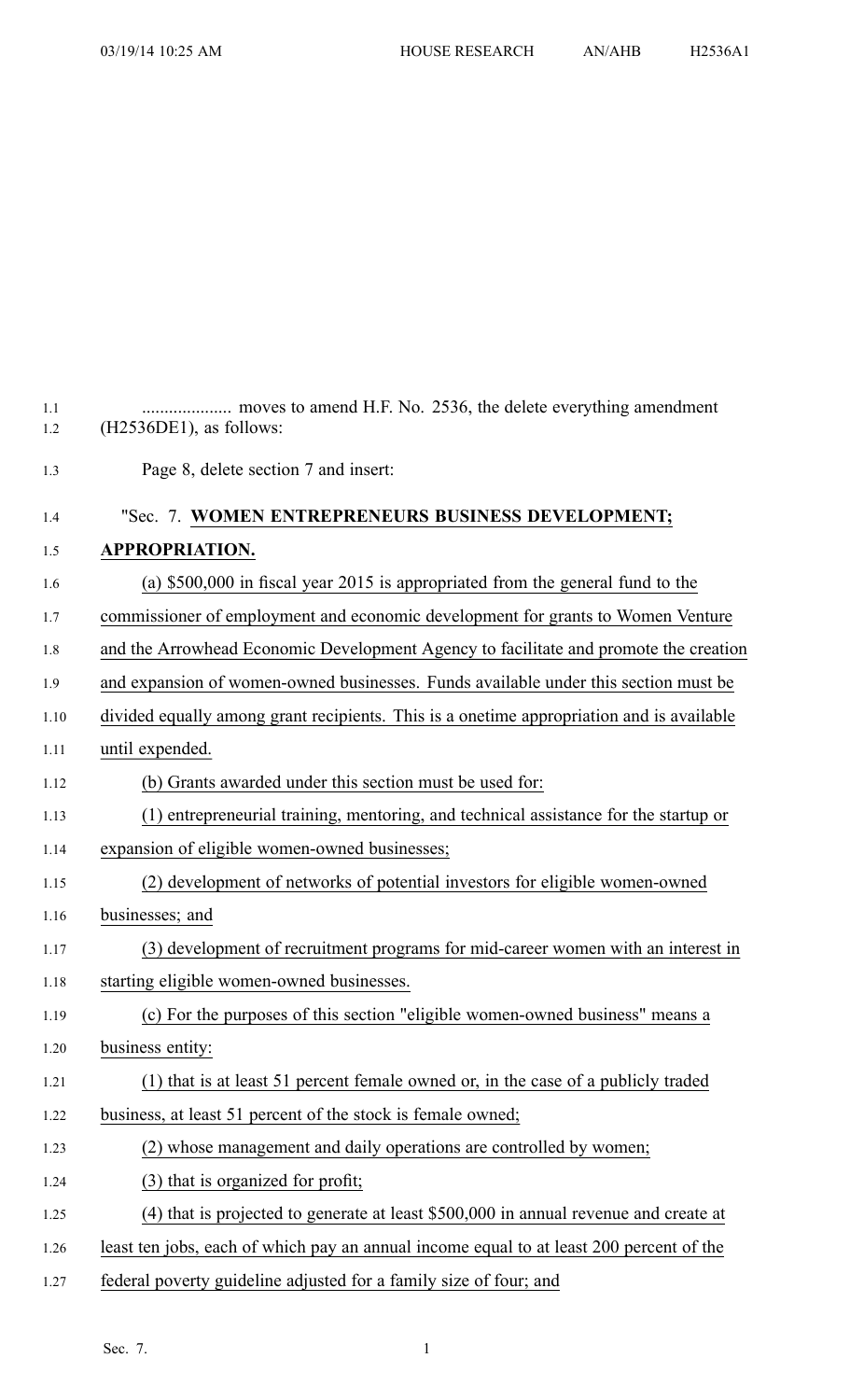1.2 (H2536DE1), as follows:

1.3 Page 8, delete section 7 and insert: 1.4 "Sec. 7. **WOMEN ENTREPRENEURS BUSINESS DEVELOPMENT;** 1.5 **APPROPRIATION.** 1.6 (a) \$500,000 in fiscal year 2015 is appropriated from the general fund to the 1.7 commissioner of employment and economic development for grants to Women Venture 1.8 and the Arrowhead Economic Development Agency to facilitate and promote the creation 1.9 and expansion of women-owned businesses. Funds available under this section must be 1.10 divided equally among gran<sup>t</sup> recipients. This is <sup>a</sup> onetime appropriation and is available 1.11 until expended. 1.12 (b) Grants awarded under this section must be used for: 1.13 (1) entrepreneurial training, mentoring, and technical assistance for the startup or 1.14 expansion of eligible women-owned businesses; 1.15 (2) development of networks of potential investors for eligible women-owned 1.16 businesses; and 1.17 (3) development of recruitment programs for mid-career women with an interest in 1.18 starting eligible women-owned businesses. 1.19 (c) For the purposes of this section "eligible women-owned business" means <sup>a</sup> 1.20 business entity: 1.21 (1) that is at least 51 percen<sup>t</sup> female owned or, in the case of <sup>a</sup> publicly traded 1.22 business, at least 51 percen<sup>t</sup> of the stock is female owned; 1.23 (2) whose managemen<sup>t</sup> and daily operations are controlled by women; 1.24 (3) that is organized for profit; 1.25 (4) that is projected to generate at least \$500,000 in annual revenue and create at 1.26 least ten jobs, each of which pay an annual income equal to at least 200 percen<sup>t</sup> of the 1.27 federal poverty guideline adjusted for <sup>a</sup> family size of four; and

1.1 .................... moves to amend H.F. No. 2536, the delete everything amendment